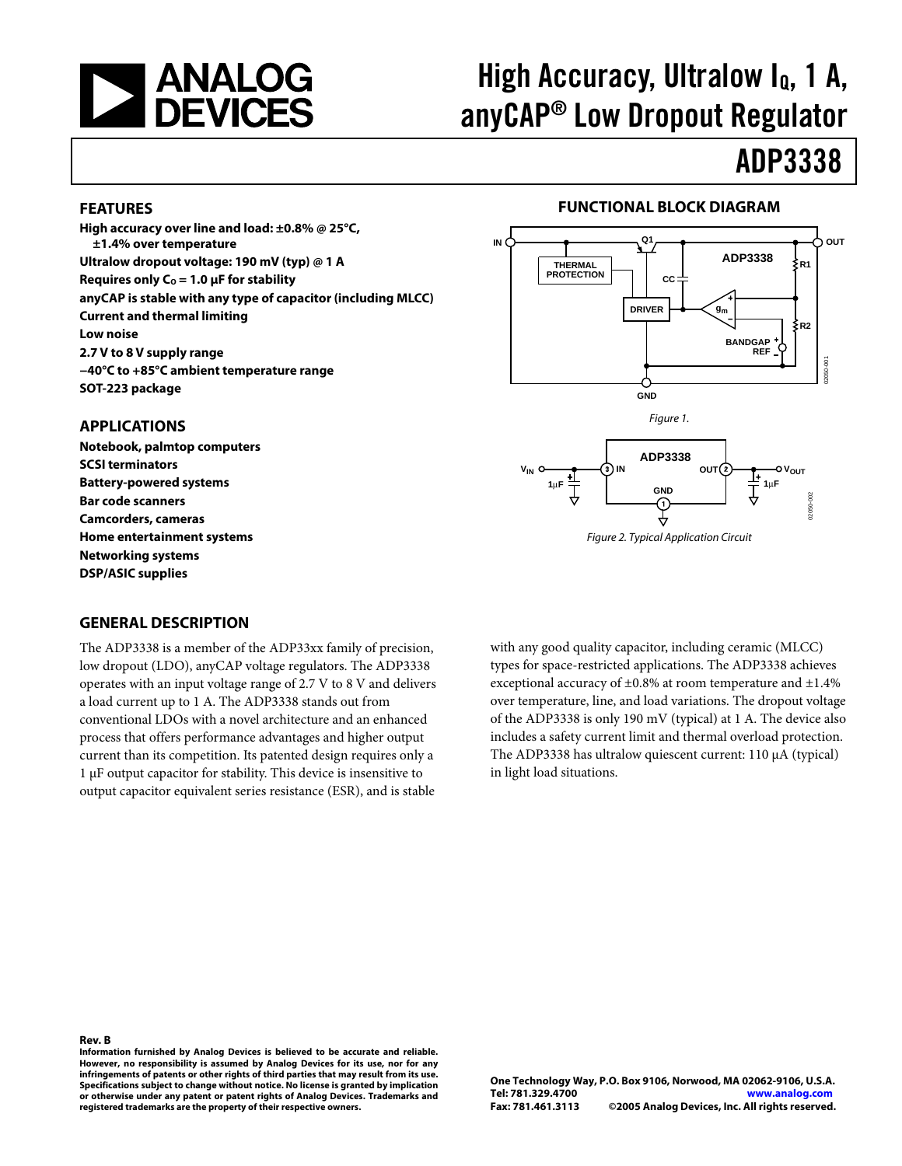

# maga ang panalay, ulan bang, 1 ang pang anyCAP® LOW Dropout Regulator.<br>© 22290.0

# ADD 3333

### **FEATURES**

**High accuracy over line and load: ±0.8% @ 25°C, ±1.4% over temperature Ultralow dropout voltage: 190 mV (typ) @ 1 A** Requires only  $C_0 = 1.0 \mu F$  for stability **anyCAP is stable with any type of capacitor (including MLCC) Current and thermal limiting Low noise 2.7 V to 8 V supply range −40°C to +85°C ambient temperature range SOT-223 package** 

### **APPLICATIONS**

**Notebook, palmtop computers SCSI terminators Battery-powered systems Bar code scanners Camcorders, cameras Home entertainment systems Networking systems DSP/ASIC supplies** 

### **FUNCTIONAL BLOCK DIAGRAM**



Figure 2. Typical Application Circuit

### **GENERAL DESCRIPTION**

The ADP3338 is a member of the ADP33xx family of precision, low dropout (LDO), anyCAP voltage regulators. The ADP3338 operates with an input voltage range of 2.7 V to 8 V and delivers a load current up to 1 A. The ADP3338 stands out from conventional LDOs with a novel architecture and an enhanced process that offers performance advantages and higher output current than its competition. Its patented design requires only a 1 µF output capacitor for stability. This device is insensitive to output capacitor equivalent series resistance (ESR), and is stable

with any good quality capacitor, including ceramic (MLCC) types for space-restricted applications. The ADP3338 achieves exceptional accuracy of ±0.8% at room temperature and ±1.4% over temperature, line, and load variations. The dropout voltage of the ADP3338 is only 190 mV (typical) at 1 A. The device also includes a safety current limit and thermal overload protection. The ADP3338 has ultralow quiescent current: 110 µA (typical) in light load situations.

**Rev. B Information furnished by Analog Devices is believed to be accurate and reliable. However, no responsibility is assumed by Analog Devices for its use, nor for any infringements of patents or other rights of third parties that may result from its use. Specifications subject to change without notice. No license is granted by implication or otherwise under any patent or patent rights of Analog Devices. Trademarks and registered trademarks are the property of their respective owners.**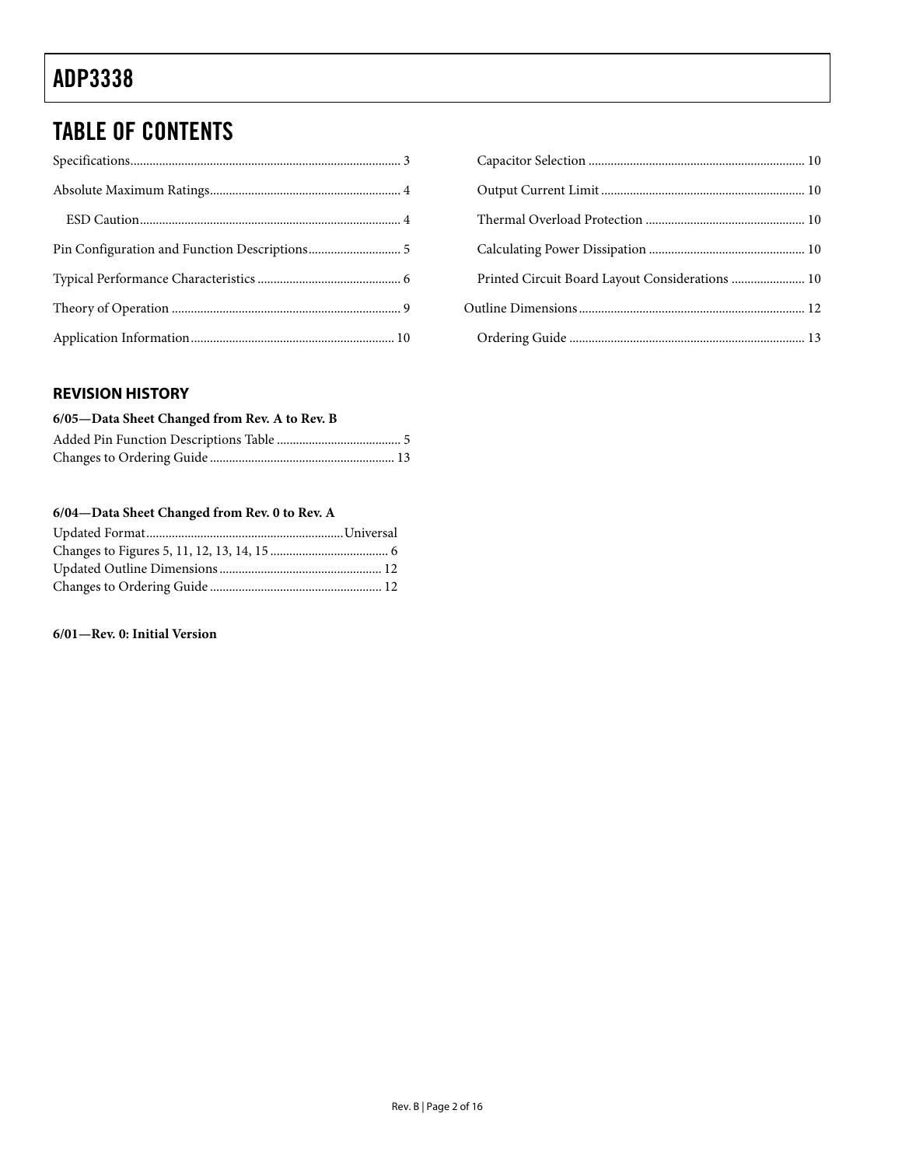# <u>ADP 3333</u>

## **TABLE OF CONTENTS**

## Capacitor Selection [.................................................................... 10](#page-9-0) [Output Current Limit................................................................ 10](#page-9-0) Thermal Overload Protection [.................................................. 10](#page-9-0) Calculating Power Dissipation [................................................. 10](#page-9-0) [Printed Circuit Board Layout Considerations](#page-9-0) ....................... 10 [Outline Dimensions....................................................................... 12](#page-11-0) Ordering Guide [.......................................................................... 13](#page-12-0)

## **REVISION HISTORY**

| 6/05-Data Sheet Changed from Rev. A to Rev. B |  |  |  |
|-----------------------------------------------|--|--|--|
|                                               |  |  |  |
|                                               |  |  |  |

### **6/04—Data Sheet Changed from Rev. 0 to Rev. A**

### **6/01—Rev. 0: Initial Version**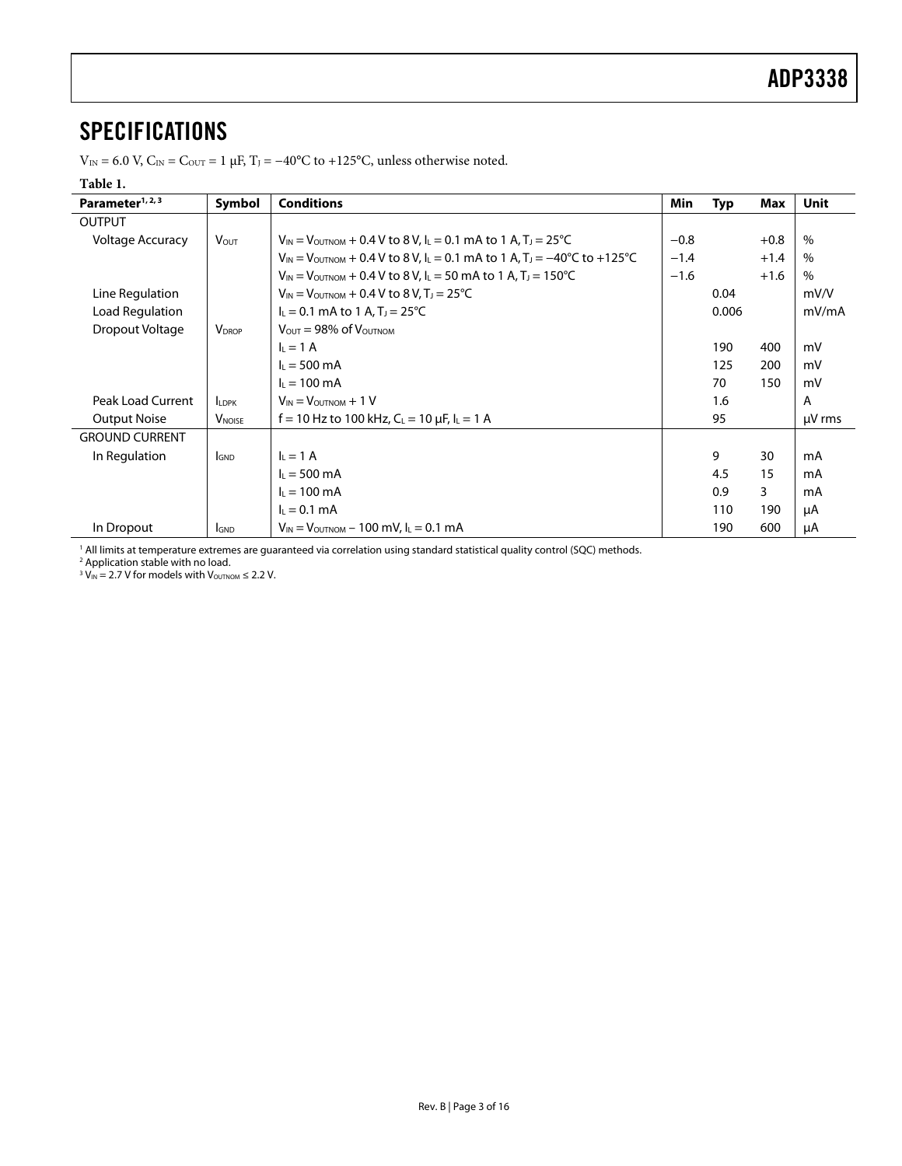<span id="page-2-0"></span> $V_{\text{IN}} = 6.0 \text{ V}, C_{\text{IN}} = C_{\text{OUT}} = 1 \text{ µF}, T_J = -40^{\circ}\text{C}$  to +125°C, unless otherwise noted.

### **Table 1.**

| Parameter <sup>1, 2, 3</sup><br><b>Conditions</b><br>Symbol                                                                                                      |                                                                                   | Min                                                                                                    | <b>Typ</b> | Max   | Unit   |             |
|------------------------------------------------------------------------------------------------------------------------------------------------------------------|-----------------------------------------------------------------------------------|--------------------------------------------------------------------------------------------------------|------------|-------|--------|-------------|
| <b>OUTPUT</b>                                                                                                                                                    |                                                                                   |                                                                                                        |            |       |        |             |
| <b>Voltage Accuracy</b><br>$V_{IN}$ = $V_{OUTNOM}$ + 0.4 V to 8 V, I <sub>L</sub> = 0.1 mA to 1 A, T <sub>J</sub> = 25 <sup>o</sup> C<br><b>V</b> <sub>OUT</sub> |                                                                                   |                                                                                                        | $-0.8$     |       | $+0.8$ | $\%$        |
|                                                                                                                                                                  |                                                                                   | $V_{IN} = V_{OUTNOM} + 0.4 V$ to 8 V, I <sub>L</sub> = 0.1 mA to 1 A, T <sub>J</sub> = -40°C to +125°C | $-1.4$     |       | $+1.4$ | $\%$        |
|                                                                                                                                                                  |                                                                                   | $V_{IN} = V_{OUTNOM} + 0.4 V$ to 8 V, I <sub>L</sub> = 50 mA to 1 A, T <sub>J</sub> = 150°C            | $-1.6$     |       | $+1.6$ | $\%$        |
| Line Regulation                                                                                                                                                  |                                                                                   | $V_{IN} = V_{OUTNOM} + 0.4 V$ to 8 V, T <sub>J</sub> = 25 <sup>°</sup> C                               |            | 0.04  |        | mV/V        |
| Load Regulation                                                                                                                                                  | $I_L = 0.1$ mA to 1 A, T <sub>J</sub> = 25 °C                                     |                                                                                                        |            | 0.006 |        | mV/mA       |
| Dropout Voltage                                                                                                                                                  | <b>V</b> <sub>DROP</sub><br>$V_{\text{OUT}} = 98\% \text{ of } V_{\text{OUTNOM}}$ |                                                                                                        |            |       |        |             |
|                                                                                                                                                                  |                                                                                   | $I_L = 1$ A                                                                                            |            | 190   | 400    | mV          |
|                                                                                                                                                                  |                                                                                   | $I_L = 500 \text{ mA}$                                                                                 |            | 125   | 200    | mV          |
|                                                                                                                                                                  |                                                                                   | $I_1 = 100 \text{ mA}$                                                                                 |            | 70    | 150    | mV          |
| Peak Load Current                                                                                                                                                | <b>LDPK</b>                                                                       | $V_{IN} = V_{OUTNOM} + 1 V$                                                                            |            | 1.6   |        | A           |
| <b>Output Noise</b>                                                                                                                                              | <b>V</b> <sub>NOISE</sub>                                                         | f = 10 Hz to 100 kHz, $C_L$ = 10 $\mu$ F, $I_L$ = 1 A                                                  |            | 95    |        | $\mu$ V rms |
| <b>GROUND CURRENT</b>                                                                                                                                            |                                                                                   |                                                                                                        |            |       |        |             |
| In Regulation                                                                                                                                                    | <b>GND</b>                                                                        | $I_L = 1$ A                                                                                            |            | 9     | 30     | mA          |
|                                                                                                                                                                  |                                                                                   | $I_L = 500 \text{ mA}$                                                                                 |            | 4.5   | 15     | mA          |
|                                                                                                                                                                  |                                                                                   | $I_L = 100 \text{ mA}$                                                                                 |            | 0.9   | 3      | mA          |
|                                                                                                                                                                  |                                                                                   | $L = 0.1$ mA                                                                                           |            | 110   | 190    | μA          |
| In Dropout                                                                                                                                                       | <b>GND</b>                                                                        | $V_{IN} = V_{OUTNOM} - 100$ mV, $I_L = 0.1$ mA                                                         |            | 190   | 600    | μA          |

<span id="page-2-1"></span><sup>1</sup> All limits at temperature extremes are guaranteed via correlation using standard statistical quality control (SQC) methods.<br><sup>2</sup> Application stable with no load.<br><sup>3</sup> V<sub>IN</sub> = 2.7 V for models with V<sub>o∪™oм</sub> ≤ 2.2 V.

<span id="page-2-2"></span>

<span id="page-2-3"></span>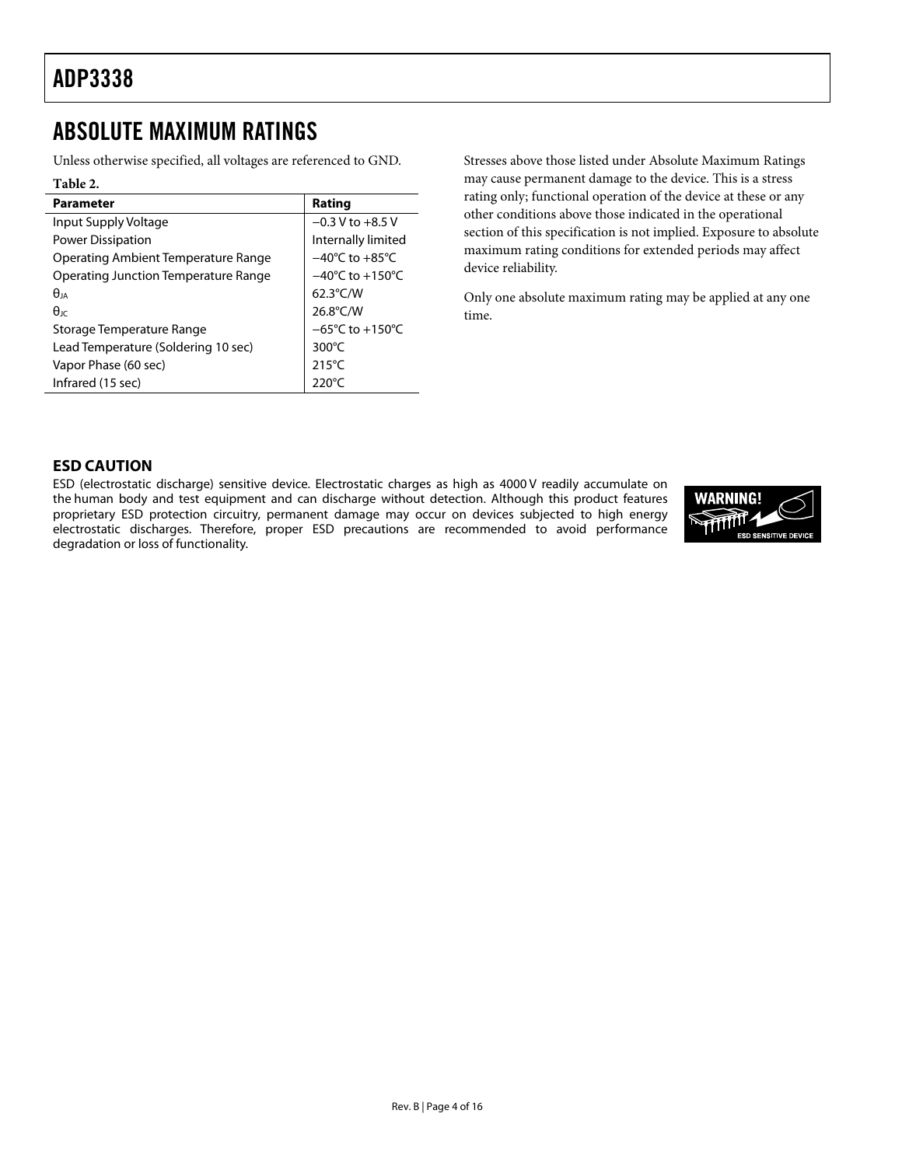## <span id="page-3-0"></span>**ABSOLUTE MAXIMUM RATINGS**

Unless otherwise specified, all voltages are referenced to GND.

### **Table 2.**

| <b>Parameter</b>                     | Rating                              |
|--------------------------------------|-------------------------------------|
| Input Supply Voltage                 | $-0.3 V$ to $+8.5 V$                |
| Power Dissipation                    | Internally limited                  |
| Operating Ambient Temperature Range  | $-40^{\circ}$ C to $+85^{\circ}$ C  |
| Operating Junction Temperature Range | $-40^{\circ}$ C to $+150^{\circ}$ C |
| $\theta$ ia                          | $62.3^{\circ}$ C/W                  |
| $\theta_{\rm IC}$                    | 26.8°C/W                            |
| Storage Temperature Range            | $-65^{\circ}$ C to $+150^{\circ}$ C |
| Lead Temperature (Soldering 10 sec)  | $300^{\circ}$ C                     |
| Vapor Phase (60 sec)                 | $215^{\circ}$ C                     |
| Infrared (15 sec)                    | 220 $\degree$ C                     |

Stresses above those listed under Absolute Maximum Ratings may cause permanent damage to the device. This is a stress rating only; functional operation of the device at these or any other conditions above those indicated in the operational section of this specification is not implied. Exposure to absolute maximum rating conditions for extended periods may affect device reliability.

Only one absolute maximum rating may be applied at any one time.

## **ESD CAUTION**

ESD (electrostatic discharge) sensitive device. Electrostatic charges as high as 4000 V readily accumulate on the human body and test equipment and can discharge without detection. Although this product features proprietary ESD protection circuitry, permanent damage may occur on devices subjected to high energy electrostatic discharges. Therefore, proper ESD precautions are recommended to avoid performance degradation or loss of functionality.

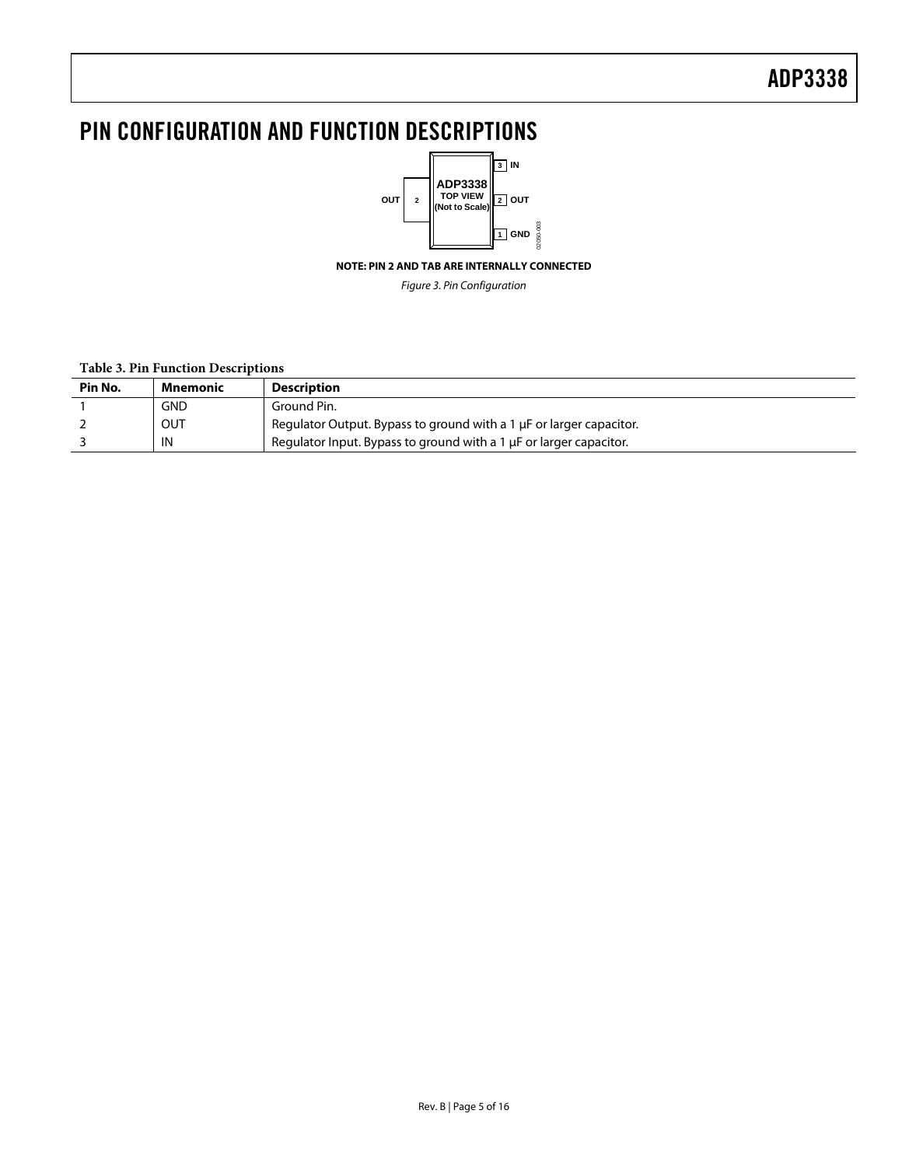<span id="page-4-0"></span>

**NOTE: PIN 2 AND TAB ARE INTERNALLY CONNECTED** 

Figure 3. Pin Configuration

### **Table 3. Pin Function Descriptions**

| Pin No. | Mnemonic   | <b>Description</b>                                                  |
|---------|------------|---------------------------------------------------------------------|
|         | <b>GND</b> | Ground Pin.                                                         |
|         | OUT        | Regulator Output. Bypass to ground with a 1 µF or larger capacitor. |
|         | IN         | Regulator Input. Bypass to ground with a 1 µF or larger capacitor.  |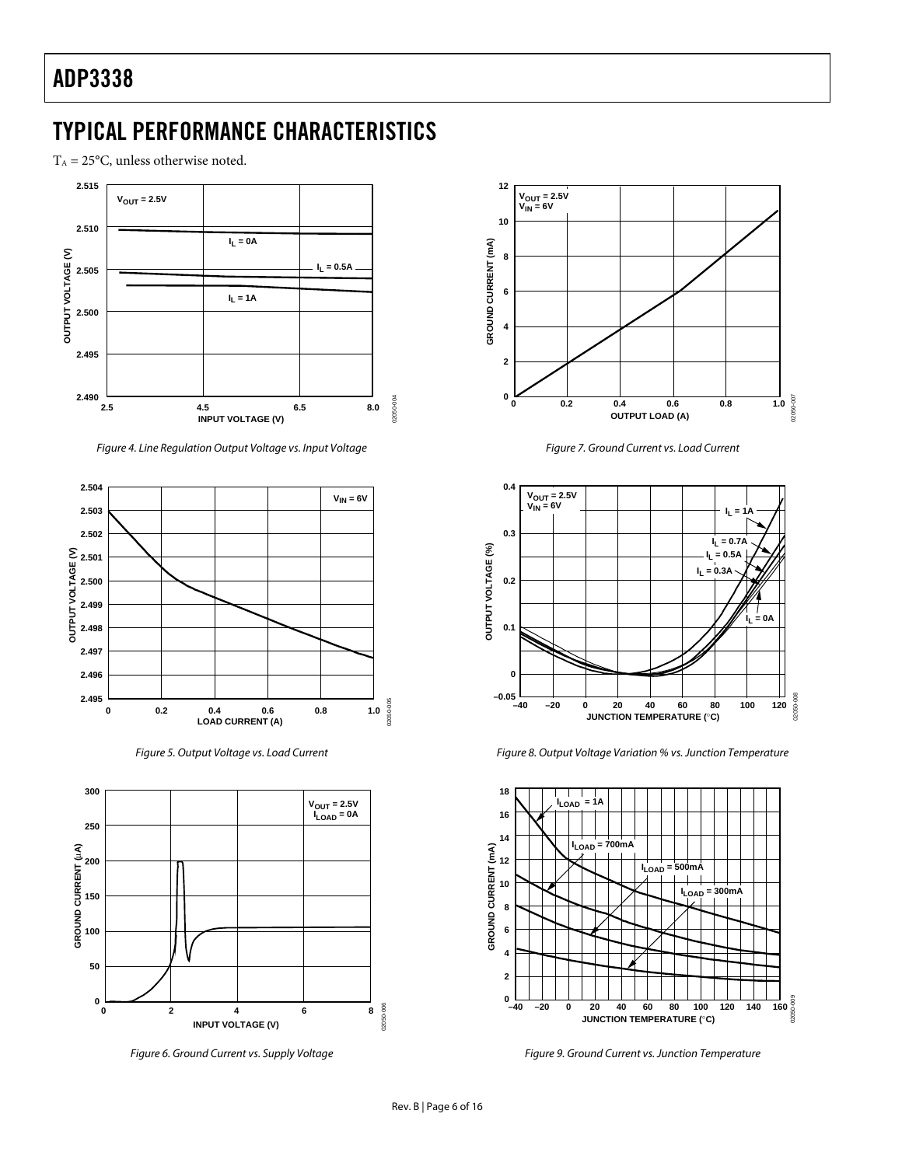## <span id="page-5-0"></span>**TYPICAL PERFORMANCE CHARACTERISTICS**

 $T_A = 25$ °C, unless otherwise noted.



Figure 4. Line Regulation Output Voltage vs. Input Voltage



Figure 5. Output Voltage vs. Load Current



Figure 6. Ground Current vs. Supply Voltage



Figure 7. Ground Current vs. Load Current



Figure 8. Output Voltage Variation % vs. Junction Temperature



Figure 9. Ground Current vs. Junction Temperature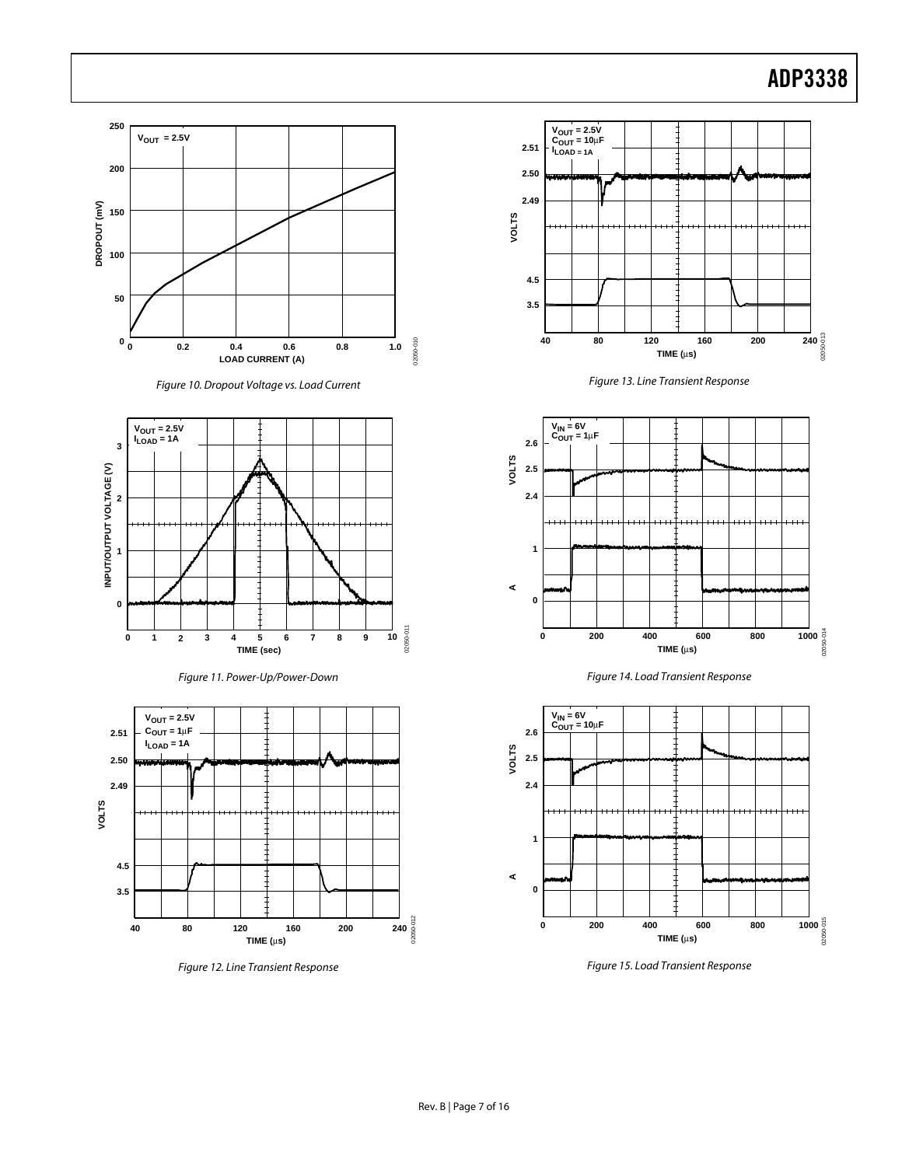# ADP3338



Figure 10. Dropout Voltage vs. Load Current



















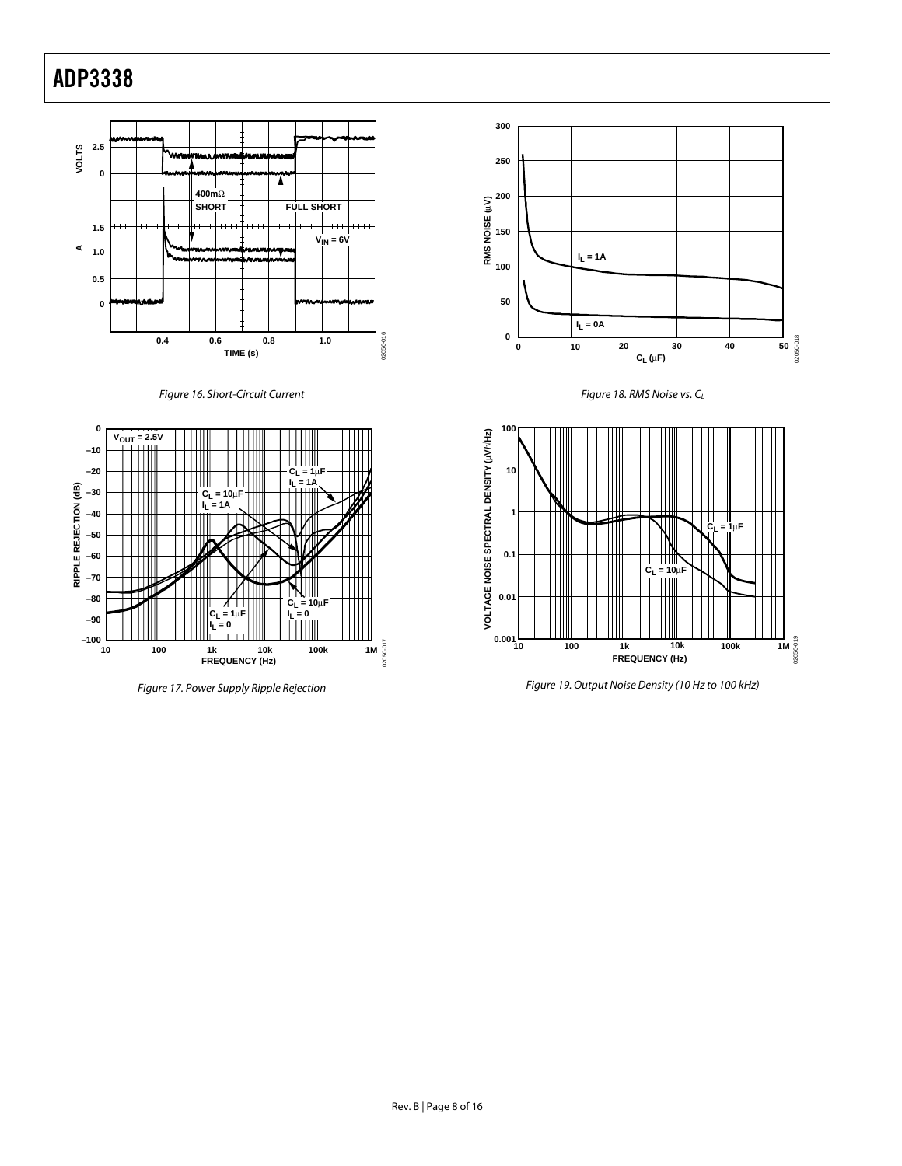

<span id="page-7-0"></span>Figure 16. Short-Circuit Current



Figure 17. Power Supply Ripple Rejection







Figure 19. Output Noise Density (10 Hz to 100 kHz)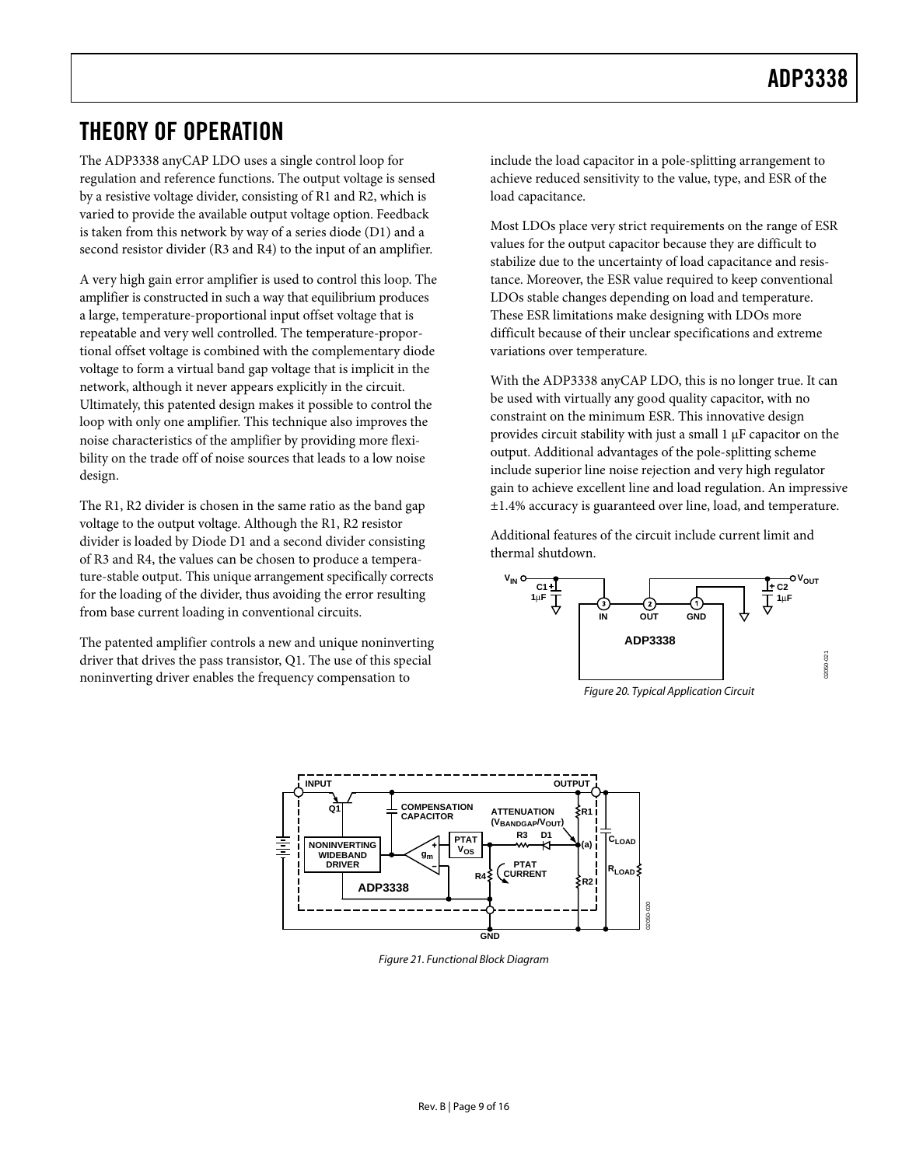## <span id="page-8-0"></span>**THEORY OF OPERATION**

The ADP3338 anyCAP LDO uses a single control loop for regulation and reference functions. The output voltage is sensed by a resistive voltage divider, consisting of R1 and R2, which is varied to provide the available output voltage option. Feedback is taken from this network by way of a series diode (D1) and a second resistor divider (R3 and R4) to the input of an amplifier.

A very high gain error amplifier is used to control this loop. The amplifier is constructed in such a way that equilibrium produces a large, temperature-proportional input offset voltage that is repeatable and very well controlled. The temperature-proportional offset voltage is combined with the complementary diode voltage to form a virtual band gap voltage that is implicit in the network, although it never appears explicitly in the circuit. Ultimately, this patented design makes it possible to control the loop with only one amplifier. This technique also improves the noise characteristics of the amplifier by providing more flexibility on the trade off of noise sources that leads to a low noise design.

The R1, R2 divider is chosen in the same ratio as the band gap voltage to the output voltage. Although the R1, R2 resistor divider is loaded by Diode D1 and a second divider consisting of R3 and R4, the values can be chosen to produce a temperature-stable output. This unique arrangement specifically corrects for the loading of the divider, thus avoiding the error resulting from base current loading in conventional circuits.

The patented amplifier controls a new and unique noninverting driver that drives the pass transistor, Q1. The use of this special noninverting driver enables the frequency compensation to

include the load capacitor in a pole-splitting arrangement to achieve reduced sensitivity to the value, type, and ESR of the load capacitance.

Most LDOs place very strict requirements on the range of ESR values for the output capacitor because they are difficult to stabilize due to the uncertainty of load capacitance and resistance. Moreover, the ESR value required to keep conventional LDOs stable changes depending on load and temperature. These ESR limitations make designing with LDOs more difficult because of their unclear specifications and extreme variations over temperature.

With the ADP3338 anyCAP LDO, this is no longer true. It can be used with virtually any good quality capacitor, with no constraint on the minimum ESR. This innovative design provides circuit stability with just a small 1 µF capacitor on the output. Additional advantages of the pole-splitting scheme include superior line noise rejection and very high regulator gain to achieve excellent line and load regulation. An impressive ±1.4% accuracy is guaranteed over line, load, and temperature.

Additional features of the circuit include current limit and thermal shutdown.



Figure 20. Typical Application Circuit



Figure 21. Functional Block Diagram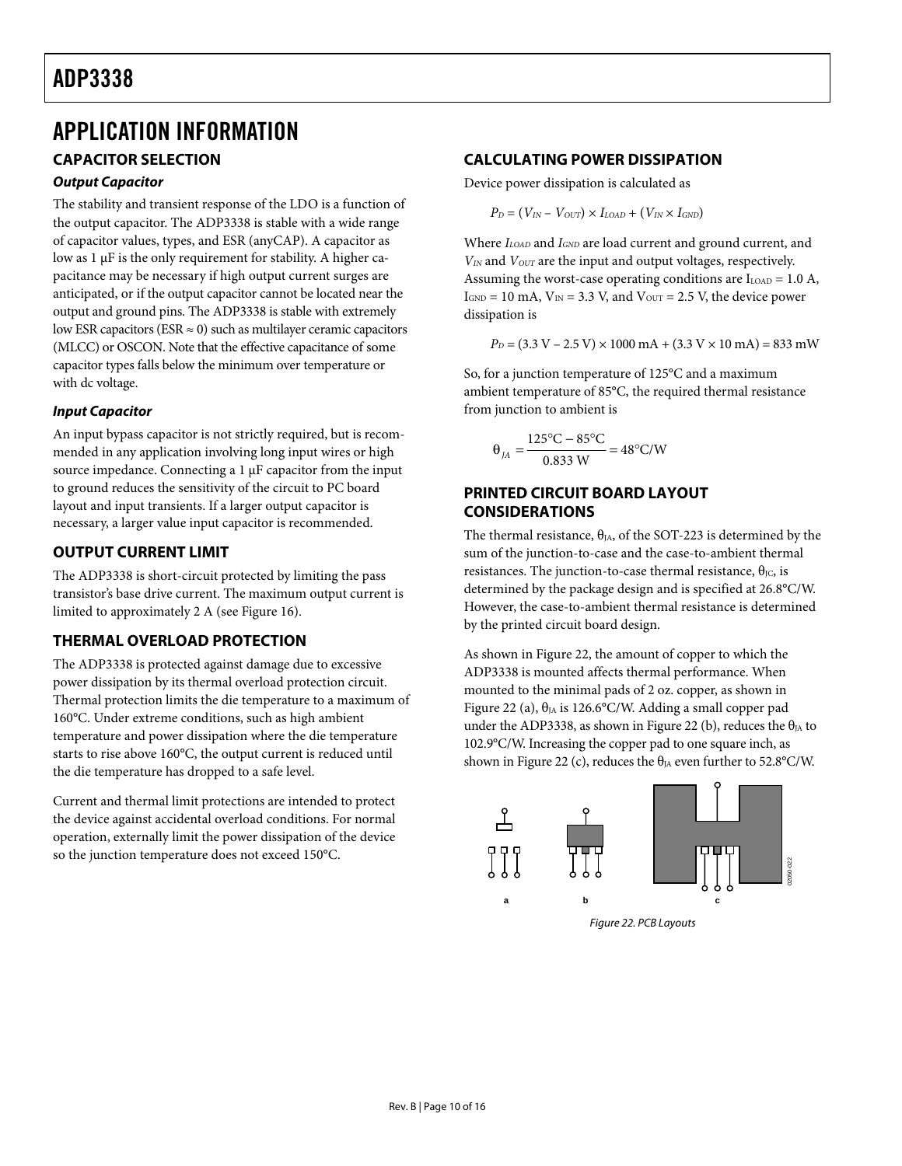## <span id="page-9-0"></span>**ADP3338** <u>ADP 333</u>

## **APPLICATION INFORMATION**

## **CAPACITOR SELECTION**

## *Output Capacitor*

The stability and transient response of the LDO is a function of the output capacitor. The ADP3338 is stable with a wide range of capacitor values, types, and ESR (anyCAP). A capacitor as low as 1 µF is the only requirement for stability. A higher capacitance may be necessary if high output current surges are anticipated, or if the output capacitor cannot be located near the output and ground pins. The ADP3338 is stable with extremely low ESR capacitors (ESR  $\approx$  0) such as multilayer ceramic capacitors (MLCC) or OSCON. Note that the effective capacitance of some capacitor types falls below the minimum over temperature or with dc voltage.

## *Input Capacitor*

An input bypass capacitor is not strictly required, but is recommended in any application involving long input wires or high source impedance. Connecting a 1 µF capacitor from the input to ground reduces the sensitivity of the circuit to PC board layout and input transients. If a larger output capacitor is necessary, a larger value input capacitor is recommended.

## **OUTPUT CURRENT LIMIT**

The ADP3338 is short-circuit protected by limiting the pass transistor's base drive current. The maximum output current is limited to approximately 2 A (see [Figure 16\)](#page-7-0).

## **THERMAL OVERLOAD PROTECTION**

The ADP3338 is protected against damage due to excessive power dissipation by its thermal overload protection circuit. Thermal protection limits the die temperature to a maximum of 160°C. Under extreme conditions, such as high ambient temperature and power dissipation where the die temperature starts to rise above 160°C, the output current is reduced until the die temperature has dropped to a safe level.

Current and thermal limit protections are intended to protect the device against accidental overload conditions. For normal operation, externally limit the power dissipation of the device so the junction temperature does not exceed 150°C.

## **CALCULATING POWER DISSIPATION**

Device power dissipation is calculated as

 $P_D = (V_{IN} - V_{OUT}) \times I_{LOAD} + (V_{IN} \times I_{GND})$ 

Where  $I_{\text{LOAD}}$  and  $I_{\text{GND}}$  are load current and ground current, and  $V_{IN}$  and  $V_{OUT}$  are the input and output voltages, respectively. Assuming the worst-case operating conditions are  $I_{\text{LOAD}} = 1.0$  A,  $I_{GND} = 10$  mA,  $V_{IN} = 3.3$  V, and  $V_{OUT} = 2.5$  V, the device power dissipation is

 $P_D = (3.3 \text{ V} - 2.5 \text{ V}) \times 1000 \text{ mA} + (3.3 \text{ V} \times 10 \text{ mA}) = 833 \text{ mW}$ 

So, for a junction temperature of 125°C and a maximum ambient temperature of 85°C, the required thermal resistance from junction to ambient is

$$
\theta_{JA} = \frac{125^{\circ}\text{C} - 85^{\circ}\text{C}}{0.833 \text{ W}} = 48^{\circ}\text{C/W}
$$

## **PRINTED CIRCUIT BOARD LAYOUT CONSIDERATIONS**

The thermal resistance,  $\theta_{JA}$ , of the SOT-223 is determined by the sum of the junction-to-case and the case-to-ambient thermal resistances. The junction-to-case thermal resistance,  $θ$ <sub>IC</sub>, is determined by the package design and is specified at 26.8°C/W. However, the case-to-ambient thermal resistance is determined by the printed circuit board design.

As shown in [Figure 22,](#page-9-1) the amount of copper to which the ADP3338 is mounted affects thermal performance. When mounted to the minimal pads of 2 oz. copper, as shown in [Figure 22 \(](#page-9-1)a),  $\theta_{IA}$  is 126.6°C/W. Adding a small copper pad under the ADP3338, as shown in [Figure 22 \(](#page-9-1)b), reduces the  $\theta_{JA}$  to 102.9°C/W. Increasing the copper pad to one square inch, as shown in [Figure 22 \(](#page-9-1)c), reduces the  $\theta_{JA}$  even further to 52.8°C/W.

<span id="page-9-1"></span>

Figure 22. PCB Layouts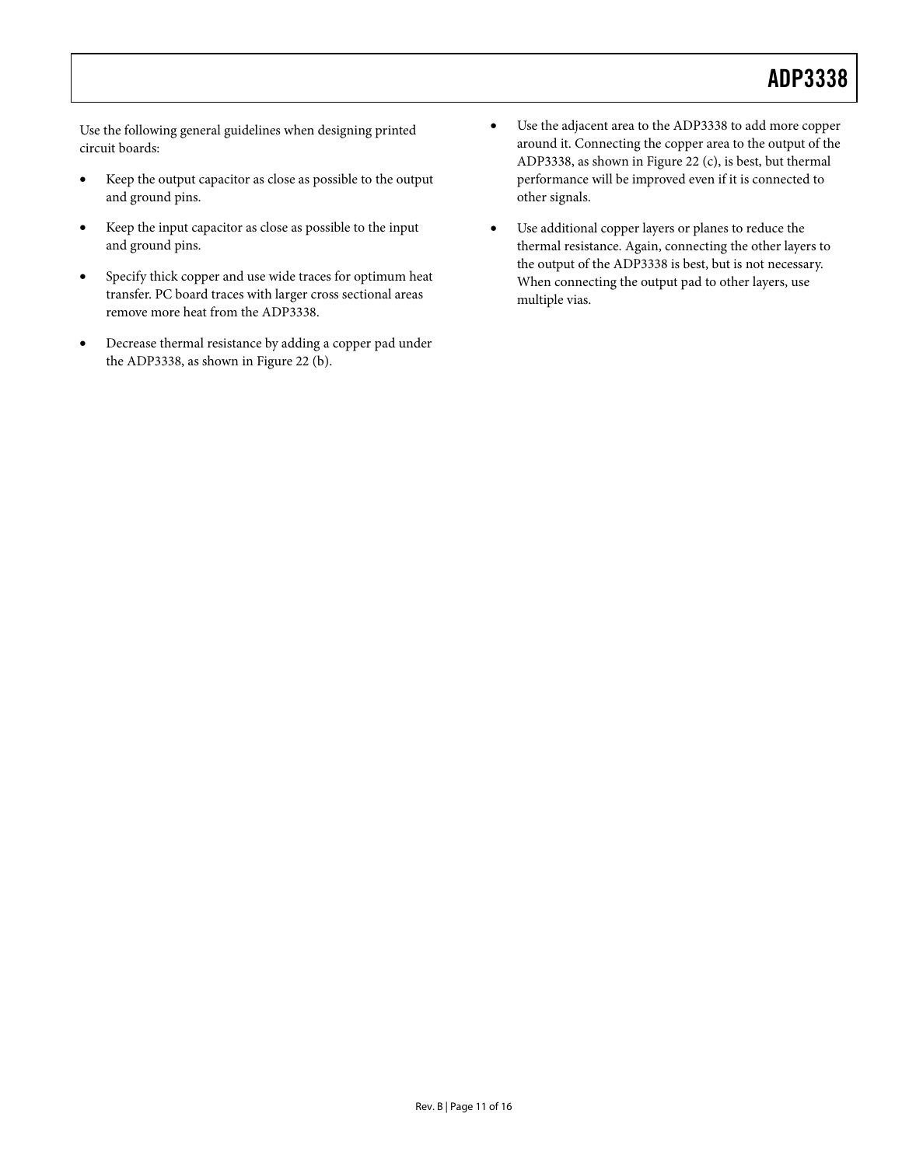Use the following general guidelines when designing printed circuit boards:

- Keep the output capacitor as close as possible to the output and ground pins.
- Keep the input capacitor as close as possible to the input and ground pins.
- Specify thick copper and use wide traces for optimum heat transfer. PC board traces with larger cross sectional areas remove more heat from the ADP3338.
- Decrease thermal resistance by adding a copper pad under the ADP3338, as shown in [Figure 22 \(](#page-9-1)b).
- Use the adjacent area to the ADP3338 to add more copper around it. Connecting the copper area to the output of the ADP3338, as shown in [Figure 22 \(](#page-9-1)c), is best, but thermal performance will be improved even if it is connected to other signals.
- Use additional copper layers or planes to reduce the thermal resistance. Again, connecting the other layers to the output of the ADP3338 is best, but is not necessary. When connecting the output pad to other layers, use multiple vias.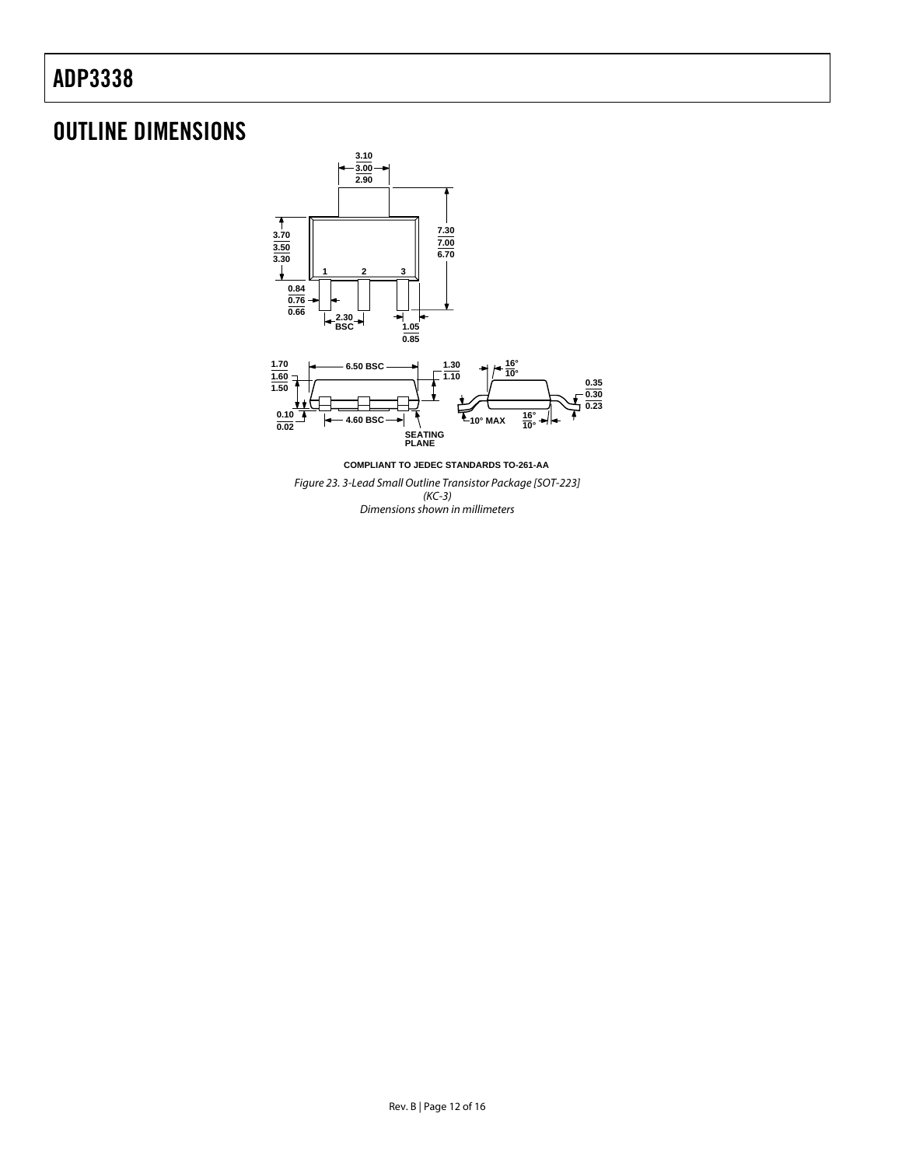# <span id="page-11-0"></span><u>ADP 333</u>

## OUTLINE DIMENSIONS

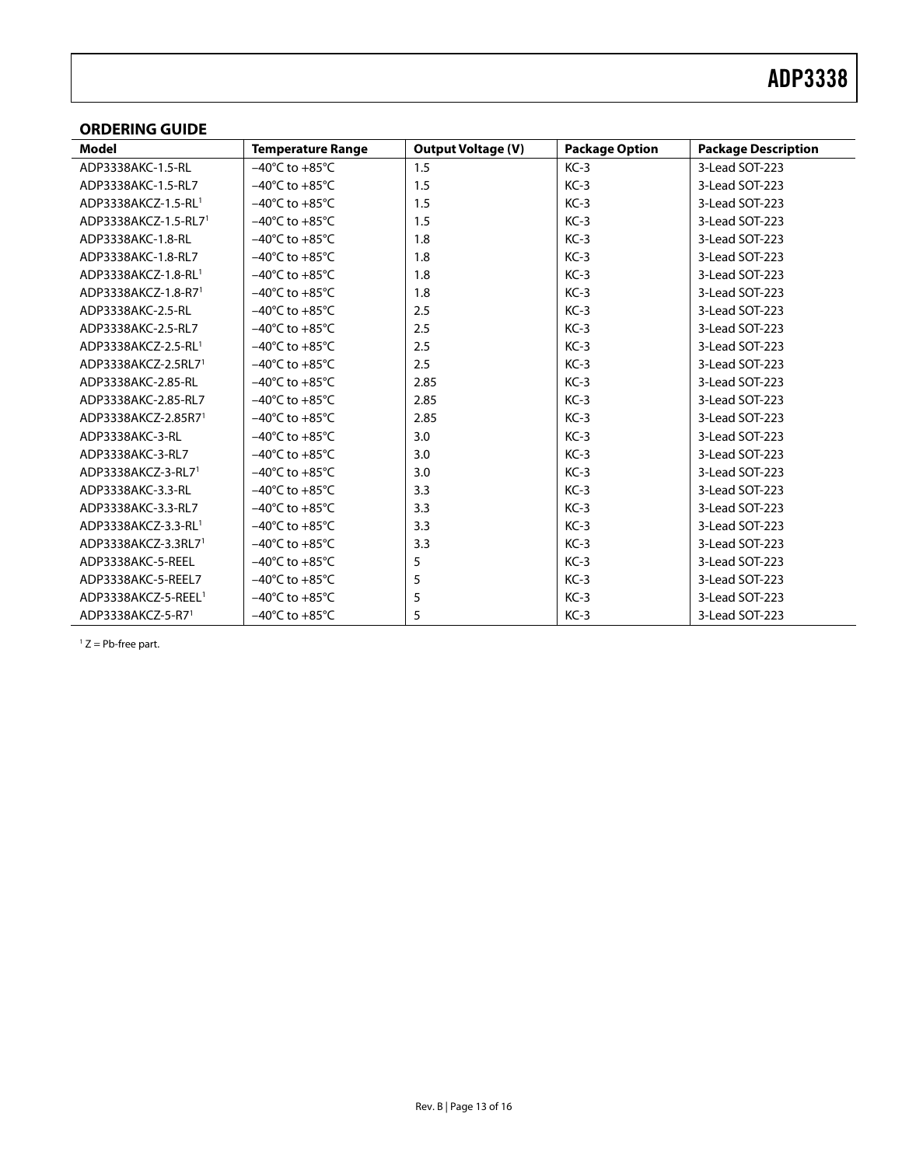### <span id="page-12-0"></span>**ORDERING GUIDE**

<span id="page-12-1"></span>

| Model                            | <b>Temperature Range</b>           | <b>Output Voltage (V)</b> | <b>Package Option</b> | <b>Package Description</b> |
|----------------------------------|------------------------------------|---------------------------|-----------------------|----------------------------|
| ADP3338AKC-1.5-RL                | $-40^{\circ}$ C to $+85^{\circ}$ C | 1.5                       | $KC-3$                | 3-Lead SOT-223             |
| ADP3338AKC-1.5-RL7               | $-40^{\circ}$ C to $+85^{\circ}$ C | 1.5                       | $KC-3$                | 3-Lead SOT-223             |
| ADP3338AKCZ-1.5-RL1              | $-40^{\circ}$ C to $+85^{\circ}$ C | 1.5                       | $KC-3$                | 3-Lead SOT-223             |
| ADP3338AKCZ-1.5-RL7 <sup>1</sup> | $-40^{\circ}$ C to $+85^{\circ}$ C | 1.5                       | $KC-3$                | 3-Lead SOT-223             |
| ADP3338AKC-1.8-RL                | $-40^{\circ}$ C to $+85^{\circ}$ C | 1.8                       | $KC-3$                | 3-Lead SOT-223             |
| ADP3338AKC-1.8-RL7               | $-40^{\circ}$ C to $+85^{\circ}$ C | 1.8                       | $KC-3$                | 3-Lead SOT-223             |
| ADP3338AKCZ-1.8-RL1              | $-40^{\circ}$ C to $+85^{\circ}$ C | 1.8                       | $KC-3$                | 3-Lead SOT-223             |
| ADP3338AKCZ-1.8-R71              | $-40^{\circ}$ C to $+85^{\circ}$ C | 1.8                       | $KC-3$                | 3-Lead SOT-223             |
| ADP3338AKC-2.5-RL                | $-40^{\circ}$ C to $+85^{\circ}$ C | 2.5                       | $KC-3$                | 3-Lead SOT-223             |
| ADP3338AKC-2.5-RL7               | $-40^{\circ}$ C to $+85^{\circ}$ C | 2.5                       | $KC-3$                | 3-Lead SOT-223             |
| ADP3338AKCZ-2.5-RL1              | $-40^{\circ}$ C to $+85^{\circ}$ C | 2.5                       | $KC-3$                | 3-Lead SOT-223             |
| ADP3338AKCZ-2.5RL7 <sup>1</sup>  | $-40^{\circ}$ C to $+85^{\circ}$ C | 2.5                       | $KC-3$                | 3-Lead SOT-223             |
| ADP3338AKC-2.85-RL               | $-40^{\circ}$ C to $+85^{\circ}$ C | 2.85                      | $KC-3$                | 3-Lead SOT-223             |
| ADP3338AKC-2.85-RL7              | $-40^{\circ}$ C to $+85^{\circ}$ C | 2.85                      | $KC-3$                | 3-Lead SOT-223             |
| ADP3338AKCZ-2.85R71              | $-40^{\circ}$ C to $+85^{\circ}$ C | 2.85                      | $KC-3$                | 3-Lead SOT-223             |
| ADP3338AKC-3-RL                  | $-40^{\circ}$ C to $+85^{\circ}$ C | 3.0                       | $KC-3$                | 3-Lead SOT-223             |
| ADP3338AKC-3-RL7                 | $-40^{\circ}$ C to $+85^{\circ}$ C | 3.0                       | $KC-3$                | 3-Lead SOT-223             |
| ADP3338AKCZ-3-RL71               | $-40^{\circ}$ C to $+85^{\circ}$ C | 3.0                       | $KC-3$                | 3-Lead SOT-223             |
| ADP3338AKC-3.3-RL                | $-40^{\circ}$ C to $+85^{\circ}$ C | 3.3                       | $KC-3$                | 3-Lead SOT-223             |
| ADP3338AKC-3.3-RL7               | $-40^{\circ}$ C to $+85^{\circ}$ C | 3.3                       | $KC-3$                | 3-Lead SOT-223             |
| ADP3338AKCZ-3.3-RL1              | $-40^{\circ}$ C to $+85^{\circ}$ C | 3.3                       | $KC-3$                | 3-Lead SOT-223             |
| ADP3338AKCZ-3.3RL7 <sup>1</sup>  | $-40^{\circ}$ C to $+85^{\circ}$ C | 3.3                       | $KC-3$                | 3-Lead SOT-223             |
| ADP3338AKC-5-REEL                | $-40^{\circ}$ C to $+85^{\circ}$ C | 5                         | $KC-3$                | 3-Lead SOT-223             |
| ADP3338AKC-5-REEL7               | $-40^{\circ}$ C to $+85^{\circ}$ C | 5                         | $KC-3$                | 3-Lead SOT-223             |
| ADP3338AKCZ-5-REEL <sup>1</sup>  | $-40^{\circ}$ C to $+85^{\circ}$ C | 5                         | $KC-3$                | 3-Lead SOT-223             |
| ADP3338AKCZ-5-R71                | $-40^{\circ}$ C to $+85^{\circ}$ C | 5                         | $KC-3$                | 3-Lead SOT-223             |

<span id="page-12-2"></span> $1 Z = Pb$ -free part.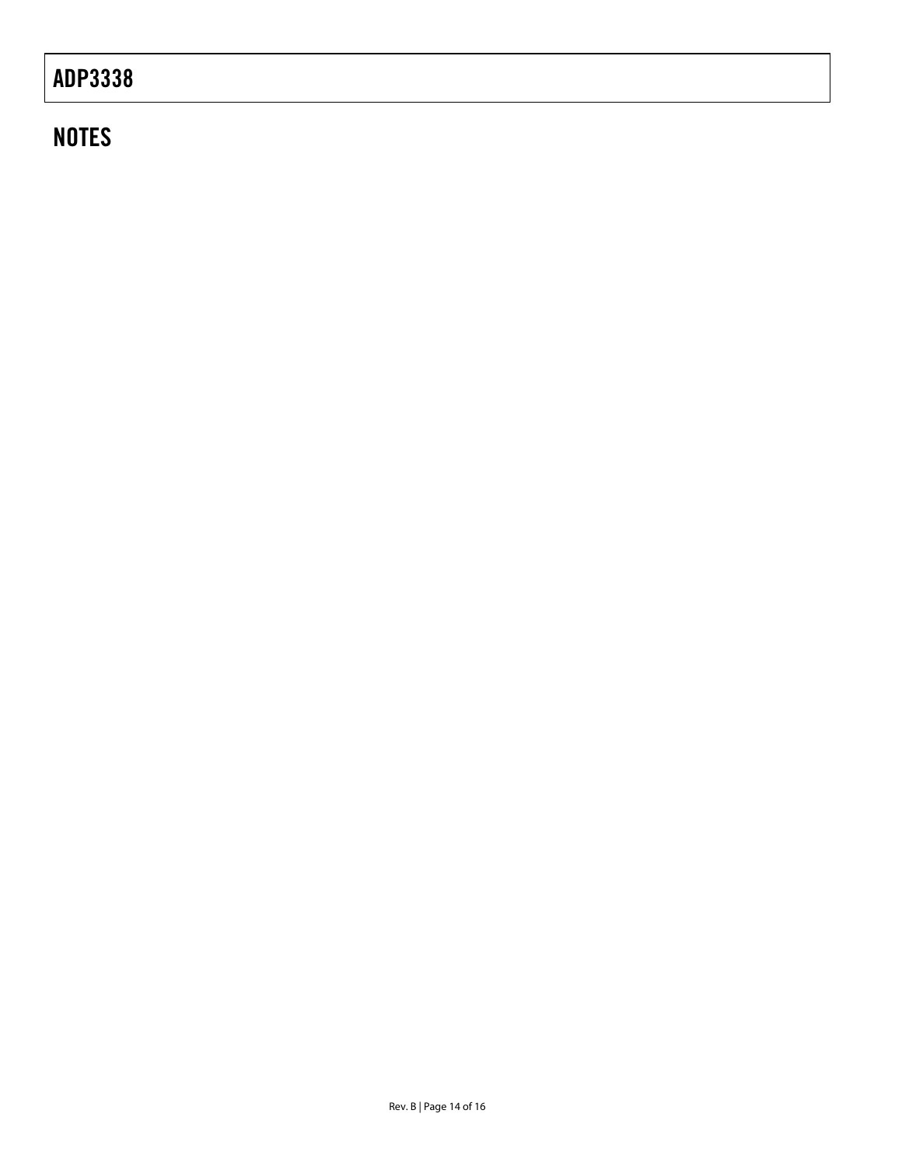# <u>ADP 333</u>

# NOTES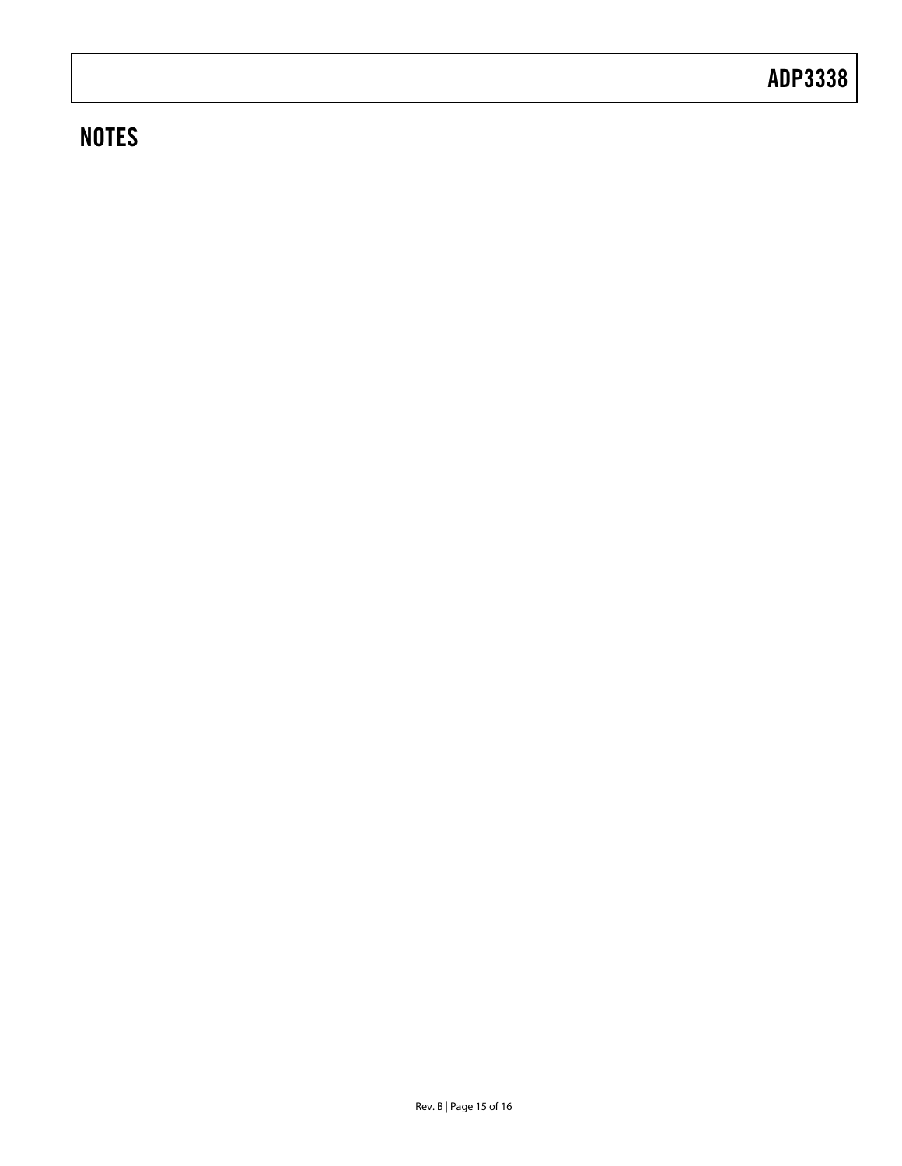## **NOTES**